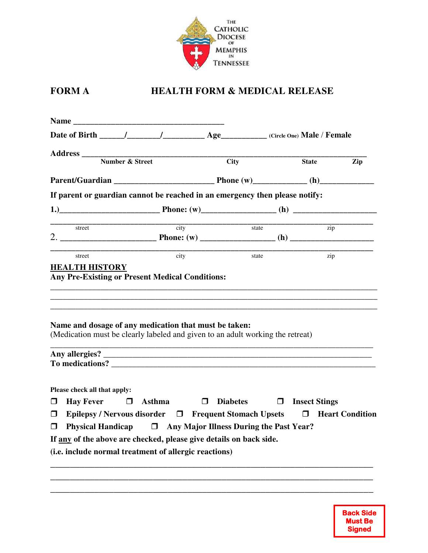

## **FORM A HEALTH FORM & MEDICAL RELEASE**

|                                                                                                                                                            |                         | $\overline{City}$         | Zip<br><b>State</b>  |  |
|------------------------------------------------------------------------------------------------------------------------------------------------------------|-------------------------|---------------------------|----------------------|--|
|                                                                                                                                                            |                         |                           |                      |  |
| If parent or guardian cannot be reached in an emergency then please notify:                                                                                |                         |                           |                      |  |
|                                                                                                                                                            |                         |                           |                      |  |
| street                                                                                                                                                     | $\frac{1}{\text{city}}$ | $\overline{\text{state}}$ | $\overline{zip}$     |  |
| street                                                                                                                                                     | city                    | state                     | zip                  |  |
| Name and dosage of any medication that must be taken:<br>(Medication must be clearly labeled and given to an adult working the retreat)<br>To medications? |                         |                           |                      |  |
| Please check all that apply:                                                                                                                               |                         | <b>Diabetes</b>           | $\Box$ Insect Stings |  |